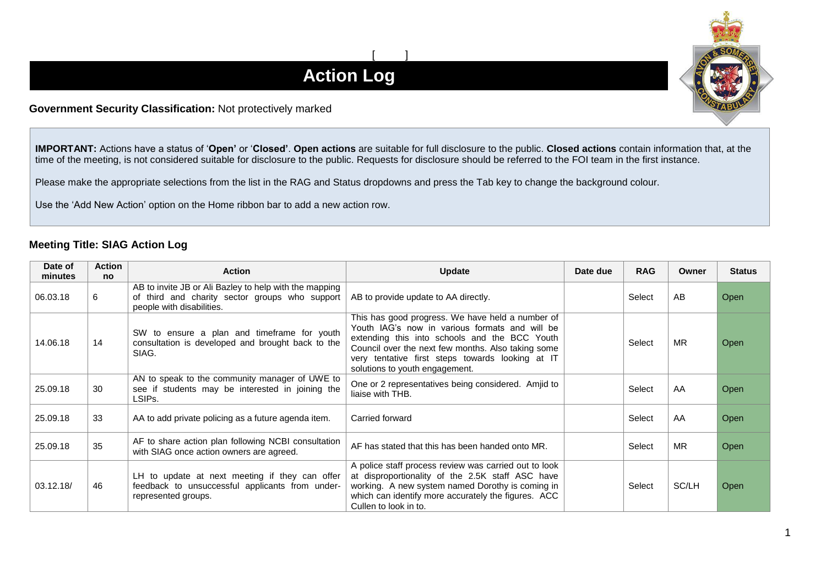## $[$   $]$ **Action Log**

## **Government Security Classification:** Not protectively marked

**IMPORTANT:** Actions have a status of '**Open'** or '**Closed'**. **Open actions** are suitable for full disclosure to the public. **Closed actions** contain information that, at the time of the meeting, is not considered suitable for disclosure to the public. Requests for disclosure should be referred to the FOI team in the first instance.

Please make the appropriate selections from the list in the RAG and Status dropdowns and press the Tab key to change the background colour.

Use the 'Add New Action' option on the Home ribbon bar to add a new action row.

## **Meeting Title: SIAG Action Log**

| Date of<br>minutes | <b>Action</b><br><b>no</b> | <b>Action</b>                                                                                                                         | <b>Update</b>                                                                                                                                                                                                                                                                                   | Date due | <b>RAG</b> | Owner     | <b>Status</b> |
|--------------------|----------------------------|---------------------------------------------------------------------------------------------------------------------------------------|-------------------------------------------------------------------------------------------------------------------------------------------------------------------------------------------------------------------------------------------------------------------------------------------------|----------|------------|-----------|---------------|
| 06.03.18           | 6                          | AB to invite JB or Ali Bazley to help with the mapping<br>of third and charity sector groups who support<br>people with disabilities. | AB to provide update to AA directly.                                                                                                                                                                                                                                                            |          | Select     | AB        | <b>Open</b>   |
| 14.06.18           | 14                         | SW to ensure a plan and timeframe for youth<br>consultation is developed and brought back to the<br>SIAG.                             | This has good progress. We have held a number of<br>Youth IAG's now in various formats and will be<br>extending this into schools and the BCC Youth<br>Council over the next few months. Also taking some<br>very tentative first steps towards looking at IT<br>solutions to youth engagement. |          | Select     | <b>MR</b> | <b>Open</b>   |
| 25.09.18           | 30                         | AN to speak to the community manager of UWE to<br>see if students may be interested in joining the<br>LSIPs.                          | One or 2 representatives being considered. Amjid to<br>liaise with THB.                                                                                                                                                                                                                         |          | Select     | AA        | Open          |
| 25.09.18           | 33                         | AA to add private policing as a future agenda item.                                                                                   | Carried forward                                                                                                                                                                                                                                                                                 |          | Select     | AA        | Open          |
| 25.09.18           | 35                         | AF to share action plan following NCBI consultation<br>with SIAG once action owners are agreed.                                       | AF has stated that this has been handed onto MR.                                                                                                                                                                                                                                                |          | Select     | <b>MR</b> | <b>Open</b>   |
| 03.12.18/          | 46                         | LH to update at next meeting if they can offer<br>feedback to unsuccessful applicants from under-<br>represented groups.              | A police staff process review was carried out to look<br>at disproportionality of the 2.5K staff ASC have<br>working. A new system named Dorothy is coming in<br>which can identify more accurately the figures. ACC<br>Cullen to look in to.                                                   |          | Select     | SC/LH     | <b>Open</b>   |